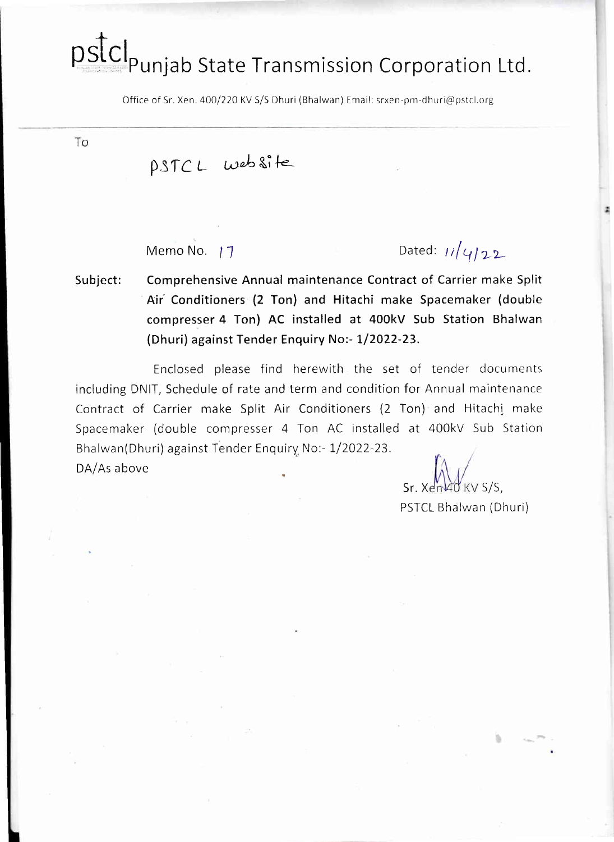# pstcl<br>Punjab State Transmission Corporation Ltd.

Office of Sr. Xen. 400/220 KV S/S Dhuri (Bhalwan) Email: srxen-pm-dhuri@pstcl.org

To

## pstcL website

Memo No.  $17$  Dated:  $11$   $11$ 

Subject: Comprehensive Annual maintenance Contract of Carrier make Split Air Conditioners (2 Ton) and Hitachi make Spacemaker (double compresser 4 Ton) AC installed at 400kV Sub Station Bhalwan (Dhuri) against Tender Enquiry No:- 1/2022-23.

Enclosed please find herewith the set of tender documents including DNIT, Schedule of rate and term and condition for Annual maintenance Contract of Carrier make Split Air Conditioners (2 Ton) and Hitachi make Spacemaker (double compresser 4 Ton AC installed at 400kV Sub Statior Bhalwan(Dhuri) against Tender Enquiry No:- 1/2022-23.

DA/As above

 $Sr. X \times M$ PSTCL Bhalwan (Dhuri)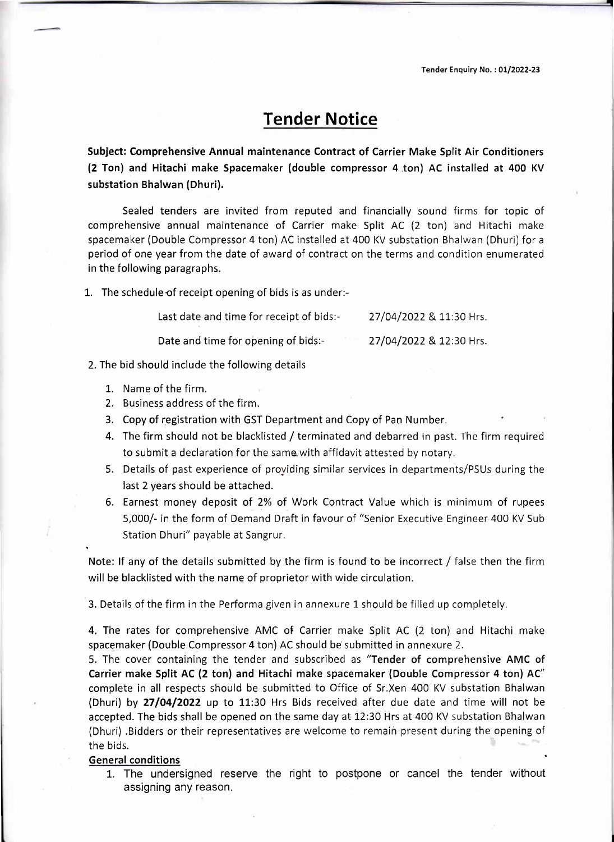Tender Enquiry No. : 01/2022-23

## Tender Notice

Subject: Comprehensive Annual maintenance Contract of Carrier Make Split Air Conditioners (2 Ton) and Hitachi make Spacemaker (double compressor 4 .ton) AC installed at 400 KV substation Bhalwan (Dhuri).

Sealed tenders are invited from reputed and financially sound firms for topic of comprehensive annual maintenance of Carrier make Split AC (2 ton) and Hitachi make spacemaker (Double Compressor 4 ton) AC installed at 400 KV substation Bhalwan (Dhuri) for <sup>a</sup> period of one year from the date of award of contract on the terms and condition enumerated in the following paragraphs.

1. The schedule of receipt opening of bids is as under:-

| Last date and time for receipt of bids:- | 27/04/2022 & 11:30 Hrs. |
|------------------------------------------|-------------------------|
| Date and time for opening of bids:-      | 27/04/2022 & 12:30 Hrs. |

2. The bid should include the following details

- L. Name of the firm.
- 2. Business address of the firm.
- 3. Copy of registration with GST Department and Copy of Pan Number.
- 4. The firm should not be blacklisted / terminated and debarred in past. The firm required to submit a declaration for the same with affidavit attested by notary.
- 5. Details of past experience of providing similar services in departments/PSUs during the last 2 years should be attached.
- 6. Earnest money deposit of 2% of Work Contract Value which is minimum of rupees 5,000/- in the form of Demand Draft in favour of "senior Executive Engineer 400 KV Sub Station Dhuri" payable at Sangrur,

Note: If any of the details submitted by the firm is found to be incorrect / false then the firm will be blacklisted with the name of proprietor with wide circulation,

3. Details of the firm in the Performa given in annexure 1 should be filled up completely.

4, The rates for comprehensive AMC of Carrier make Split AC (2 ton) and Hitachi make spacemaker (Double Compressor 4 ton) AC should be submitted in annexure 2.

5, The cover containing the tender and subscribed as "Tender of comprehensive AMC of Carrier make Split AC (2 ton) and Hitachi make spacemaker (Double Compressor 4 ton) AC" complete in all respects should be submitted to Office of Sr.Xen 400 KV substation Bhalwan (Dhuri) by  $27/04/2022$  up to 11:30 Hrs Bids received after due date and time will not be accepted. The bids shall be opened on the same day at 12:30 Hrs at 400 KV substation Bhalwan (Dhuri) .Bidders or their representatives are welcome to remain present during the opening of the bids.

#### General conditions

1. The undersigned reserve the right to postpone or cancel the tender without assigning any reason.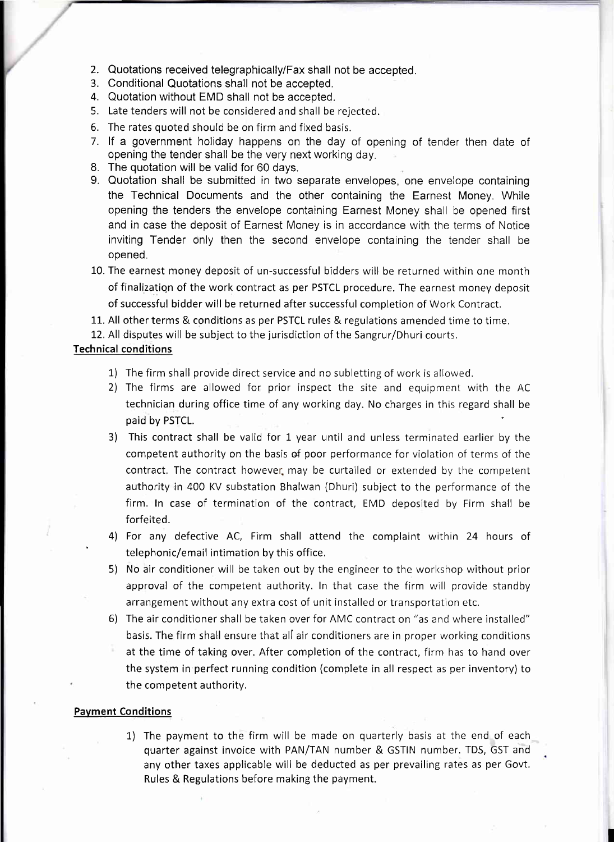- 2. Quotations received telegraphically/Fax shall not be accepted.
- 3. Conditional Quotations shall not be accepted.
- 4. Quotation without EMD shall not be accepted.
- 5. Late tenders will not be considered and shall be rejected.
- 6. The rates quoted should be on firm and fixed basis.
- 7. lf a government holiday happens on the day of opening of tender then date of opening the tender shall be the very next working day.
- 8. The quotation will be valid for 60 days.
- 9. Quotation shall be submitted in two separate envelopes, one envelope containing the Technical Documents and the other containing the Earnest Money. While opening the tenders the envelope containing Earnest Money shall be opened first and in case the deposit of Earnest Money is in accordance with the terms of Notice inviting Tender only then the second envelope containing the tender shall be opened.
- 10. The earnest money deposit of un-successful bidders will be returned within one month of finalization of the work contract as per PSTCL procedure. The earnest money deposit of successful bidder will be returned after successful completion of Work Contract.
- 11. All other terms & conditions as per PSTCL rules & regulations amended time to time.
- 12. All disputes will be subject to the jurisdiction of the Sangrur/Dhuri courts,

#### Technical conditions

- 1) The firm shall provide direct service and no subletting of work is allowed.
- 2) The firms are allowed for prior inspect the site and equipment with the AC technician during office time of any working day. No charges in this regard shall be paid by PSTCL.
- 3) This contract shall be valid for 1 year until and unless terminated earlier by the competent authority on the basis of poor performance for violation of terms of the contract, The contract however. may be curtailed or extended by the competent authority in 400 KV substation Bhalwan (Dhuri) subject to the performance of the firm. ln case of termination of the contract, EMD deposited by Firm shall be forfeited.
- 4) For any defective AC, Firm shall attend the complaint within 24 hours of ' telephonic/email intimation by this office,
- 5) No air conditioner will be taken out by the engineer to the workshop without prior approval of the competent authority, ln that case the firm will provide standby arrangement without any extra cost of unit installed or transportation etc.
- 6) The air conditioner shall be taken over for AMC contract on "as and where installed" basis. The firm shall ensure that all air conditioners are in proper working conditions at the time of taking over. After completion of the contract, firm has to hand over the system in perfect running condition (complete in all respect as per inventory) to the competent authority.

#### Pavment Conditions

1) The payment to the firm will be made on quarterly basis at the end of each quarter against invoice with PAN/TAN number & GSTIN number. TDS, GST and any other taxes applicable will be deducted as per prevailing rates as per Govt. Rules & Regulations before making the payment.

I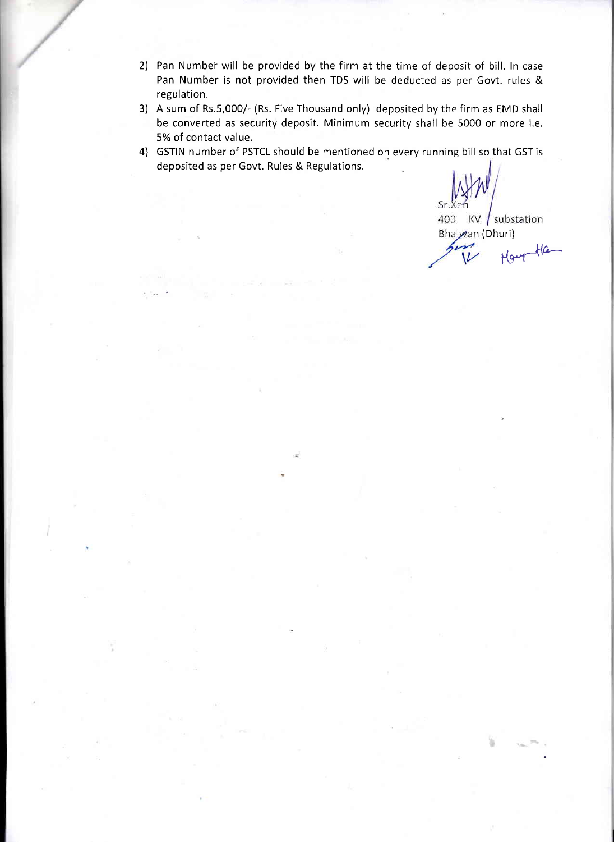- 2) Pan Number will be provided by the firm at the time of deposit of bill. ln case Pan Number is not provided then TDS will be deducted as per Govt. rules & regulation.
- 3) A sum of Rs.5,000/- (Rs. Five Thousand only) deposited by the firm as EMD shall be converted as security deposit, Minimum security shall be 5000 or more i,e, 5% of contact value.
- 4) GSTIN number of PSTCL should be mentioned on every running bill so that GST is deposited as per Govt, Rules & Regulations.

Sr.Xet

400 KV substation Bhalwan (Dhuri)

 $H_{\alpha-1}$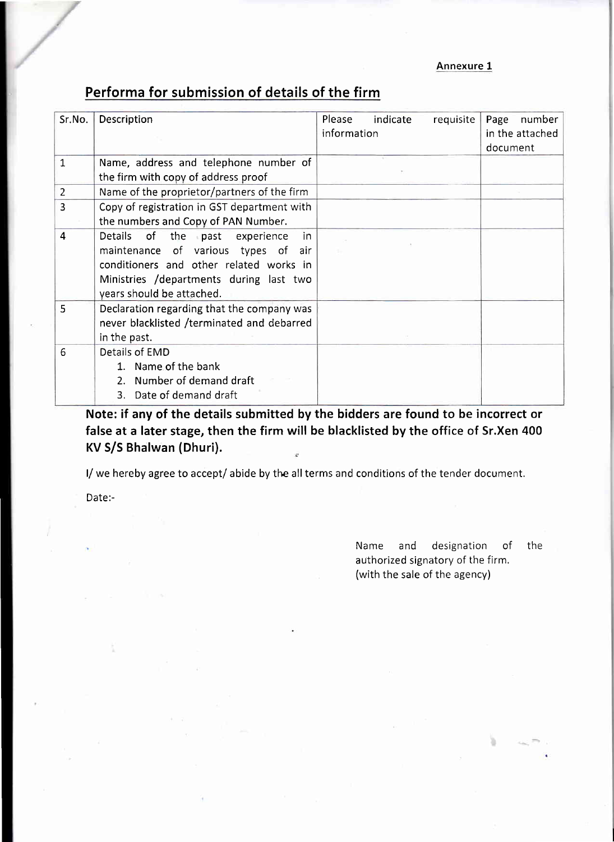#### Annexure 1

### Performa for submission of details of the firm

| Sr.No.         | Description                                                                                                                                                                                          | Please<br>indicate<br>requisite<br>information | Page<br>number<br>in the attached<br>document |
|----------------|------------------------------------------------------------------------------------------------------------------------------------------------------------------------------------------------------|------------------------------------------------|-----------------------------------------------|
| 1              | Name, address and telephone number of<br>the firm with copy of address proof                                                                                                                         |                                                |                                               |
| $\overline{2}$ | Name of the proprietor/partners of the firm                                                                                                                                                          |                                                |                                               |
| 3              | Copy of registration in GST department with<br>the numbers and Copy of PAN Number.                                                                                                                   |                                                |                                               |
| 4              | of the past<br>Details<br>experience<br>in<br>maintenance of various types of air<br>conditioners and other related works in<br>Ministries /departments during last two<br>years should be attached. |                                                |                                               |
| 5              | Declaration regarding that the company was<br>never blacklisted /terminated and debarred<br>in the past.                                                                                             |                                                |                                               |
| 6              | Details of EMD<br>1. Name of the bank<br>Number of demand draft<br>2 <sub>1</sub><br>3. Date of demand draft                                                                                         |                                                |                                               |

Note: if any of the details submitted by the bidders are found to be incorrect or false at a later stage, then the firm will be blacklisted by the office of Sr.Xen 400 KV S/S Bhalwan (Dhuri). !

I/ we hereby agree to accept/ abide by the all terms and conditions of the tender document.

Date:-

Name and designation of the authorized signatory of the firm, (with the sale of the agency)